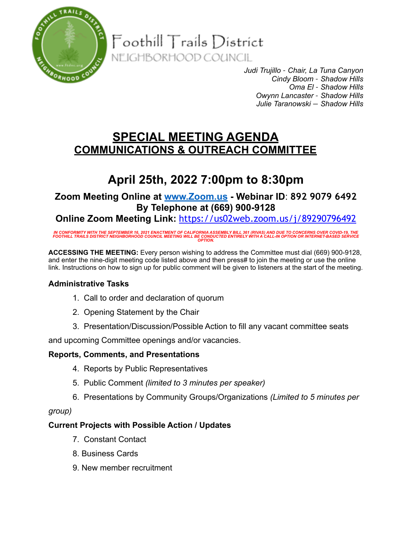

Foothill Trails District

NEIGHBORHOOD COUNCIL

*Judi Trujillo – Chair, La Tuna Canyon Cindy Bloom – Shadow Hills Oma El – Shadow Hills Owynn Lancaster – Shadow Hills Julie Taranowski — Shadow Hills*

## **SPECIAL MEETING AGENDA COMMUNICATIONS & OUTREACH COMMITTEE**

# **April 25th, 2022 7:00pm to 8:30pm**

## **Zoom Meeting Online at [www.Zoom.us](http://www.zoom.us) - Webinar ID**: **892 9079 6492 By Telephone at (669) 900-9128**

**Online Zoom Meeting Link:** <https://us02web.zoom.us/j/89290796492>

IN CONFORMITY WITH THE SEPTEMBER 16, 2021 ENACTMENT OF CALIFORNIA ASSEMBLY BILL 361 (RIVAS) AND DUE TO CONCERNS OVER COVID-19, THE<br>FOOTHILL TRAILS DISTRICT NEIGHBORHOOD COUNCIL MEETING WILL BE CONDUCTED ENTIRELY WITH A CAL

**ACCESSING THE MEETING:** Every person wishing to address the Committee must dial (669) 900-9128, and enter the nine-digit meeting code listed above and then press# to join the meeting or use the online link. Instructions on how to sign up for public comment will be given to listeners at the start of the meeting.

### **Administrative Tasks**

- 1. Call to order and declaration of quorum
- 2. Opening Statement by the Chair
- 3. Presentation/Discussion/Possible Action to fill any vacant committee seats

and upcoming Committee openings and/or vacancies.

#### **Reports, Comments, and Presentations**

- 4. Reports by Public Representatives
- 5. Public Comment *(limited to 3 minutes per speaker)*
- 6. Presentations by Community Groups/Organizations *(Limited to 5 minutes per*

#### *group)*

#### **Current Projects with Possible Action / Updates**

- 7. Constant Contact
- 8. Business Cards
- 9. New member recruitment